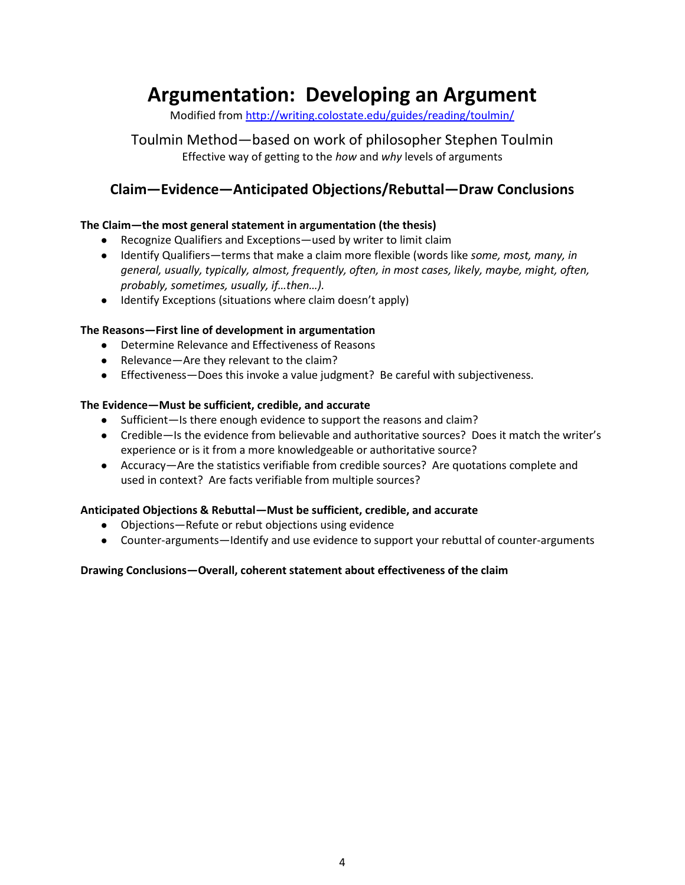# **Argumentation: Developing an Argument**

Modified fro[m http://writing.colostate.edu/guides/reading/toulmin/](http://writing.colostate.edu/guides/reading/toulmin/)

# Toulmin Method—based on work of philosopher Stephen Toulmin Effective way of getting to the *how* and *why* levels of arguments

# **Claim—Evidence—Anticipated Objections/Rebuttal—Draw Conclusions**

## **The Claim—the most general statement in argumentation (the thesis)**

- Recognize Qualifiers and Exceptions—used by writer to limit claim
- Identify Qualifiers—terms that make a claim more flexible (words like *some, most, many, in general, usually, typically, almost, frequently, often, in most cases, likely, maybe, might, often, probably, sometimes, usually, if…then…).*
- Identify Exceptions (situations where claim doesn't apply)

#### **The Reasons—First line of development in argumentation**

- Determine Relevance and Effectiveness of Reasons
- Relevance—Are they relevant to the claim?
- Effectiveness—Does this invoke a value judgment? Be careful with subjectiveness.

#### **The Evidence—Must be sufficient, credible, and accurate**

- Sufficient—Is there enough evidence to support the reasons and claim?
- Credible—Is the evidence from believable and authoritative sources? Does it match the writer's experience or is it from a more knowledgeable or authoritative source?
- Accuracy—Are the statistics verifiable from credible sources? Are quotations complete and used in context? Are facts verifiable from multiple sources?

#### **Anticipated Objections & Rebuttal—Must be sufficient, credible, and accurate**

- Objections—Refute or rebut objections using evidence
- Counter-arguments—Identify and use evidence to support your rebuttal of counter-arguments

## **Drawing Conclusions—Overall, coherent statement about effectiveness of the claim**